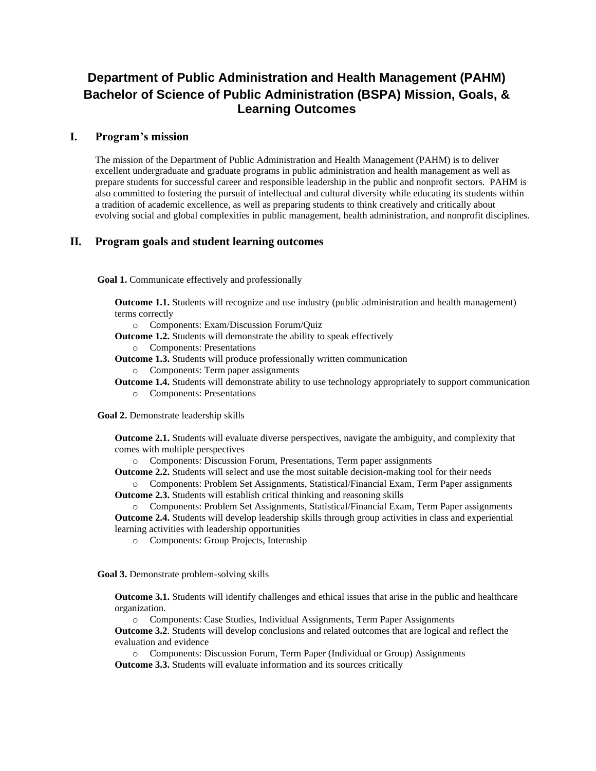## **Department of Public Administration and Health Management (PAHM) Bachelor of Science of Public Administration (BSPA) Mission, Goals, & Learning Outcomes**

## **I. Program's mission**

The mission of the Department of Public Administration and Health Management (PAHM) is to deliver excellent undergraduate and graduate programs in public administration and health management as well as prepare students for successful career and responsible leadership in the public and nonprofit sectors. PAHM is also committed to fostering the pursuit of intellectual and cultural diversity while educating its students within a tradition of academic excellence, as well as preparing students to think creatively and critically about evolving social and global complexities in public management, health administration, and nonprofit disciplines.

## **II. Program goals and student learning outcomes**

**Goal 1.** Communicate effectively and professionally

**Outcome 1.1.** Students will recognize and use industry (public administration and health management) terms correctly

o Components: Exam/Discussion Forum/Quiz

**Outcome 1.2.** Students will demonstrate the ability to speak effectively

o Components: Presentations

**Outcome 1.3.** Students will produce professionally written communication

o Components: Term paper assignments

**Outcome 1.4.** Students will demonstrate ability to use technology appropriately to support communication o Components: Presentations

**Goal 2.** Demonstrate leadership skills

**Outcome 2.1.** Students will evaluate diverse perspectives, navigate the ambiguity, and complexity that comes with multiple perspectives

o Components: Discussion Forum, Presentations, Term paper assignments

**Outcome 2.2.** Students will select and use the most suitable decision-making tool for their needs

o Components: Problem Set Assignments, Statistical/Financial Exam, Term Paper assignments **Outcome 2.3.** Students will establish critical thinking and reasoning skills

o Components: Problem Set Assignments, Statistical/Financial Exam, Term Paper assignments **Outcome 2.4.** Students will develop leadership skills through group activities in class and experiential

learning activities with leadership opportunities

o Components: Group Projects, Internship

**Goal 3.** Demonstrate problem-solving skills

**Outcome 3.1.** Students will identify challenges and ethical issues that arise in the public and healthcare organization.

o Components: Case Studies, Individual Assignments, Term Paper Assignments

**Outcome 3.2**. Students will develop conclusions and related outcomes that are logical and reflect the evaluation and evidence

o Components: Discussion Forum, Term Paper (Individual or Group) Assignments **Outcome 3.3.** Students will evaluate information and its sources critically